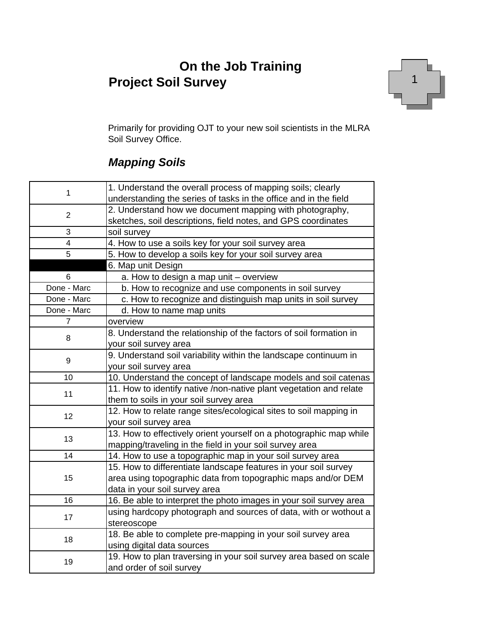### **On the Job Training Project Soil Survey**



Primarily for providing OJT to your new soil scientists in the MLRA Soil Survey Office.

#### *Mapping Soils*

|                                                                                                                             | 1. Understand the overall process of mapping soils; clearly        |
|-----------------------------------------------------------------------------------------------------------------------------|--------------------------------------------------------------------|
|                                                                                                                             | understanding the series of tasks in the office and in the field   |
| 1<br>$\overline{2}$<br>3<br>4<br>5<br>6<br>Done - Marc<br>Done - Marc<br>Done - Marc<br>7<br>8<br>9<br>10<br>11<br>12<br>13 | 2. Understand how we document mapping with photography,            |
|                                                                                                                             | sketches, soil descriptions, field notes, and GPS coordinates      |
|                                                                                                                             | soil survey                                                        |
|                                                                                                                             | 4. How to use a soils key for your soil survey area                |
|                                                                                                                             | 5. How to develop a soils key for your soil survey area            |
|                                                                                                                             | 6. Map unit Design                                                 |
|                                                                                                                             | a. How to design a map unit - overview                             |
|                                                                                                                             | b. How to recognize and use components in soil survey              |
|                                                                                                                             | c. How to recognize and distinguish map units in soil survey       |
|                                                                                                                             | d. How to name map units                                           |
|                                                                                                                             | overview                                                           |
|                                                                                                                             | 8. Understand the relationship of the factors of soil formation in |
|                                                                                                                             | your soil survey area                                              |
|                                                                                                                             | 9. Understand soil variability within the landscape continuum in   |
|                                                                                                                             | your soil survey area                                              |
|                                                                                                                             | 10. Understand the concept of landscape models and soil catenas    |
|                                                                                                                             | 11. How to identify native /non-native plant vegetation and relate |
|                                                                                                                             | them to soils in your soil survey area                             |
|                                                                                                                             | 12. How to relate range sites/ecological sites to soil mapping in  |
|                                                                                                                             | your soil survey area                                              |
|                                                                                                                             | 13. How to effectively orient yourself on a photographic map while |
|                                                                                                                             | mapping/traveling in the field in your soil survey area            |
| 14                                                                                                                          | 14. How to use a topographic map in your soil survey area          |
|                                                                                                                             | 15. How to differentiate landscape features in your soil survey    |
| 15                                                                                                                          | area using topographic data from topographic maps and/or DEM       |
|                                                                                                                             | data in your soil survey area                                      |
| 16                                                                                                                          | 16. Be able to interpret the photo images in your soil survey area |
|                                                                                                                             | using hardcopy photograph and sources of data, with or wothout a   |
| 17                                                                                                                          | stereoscope                                                        |
| 18                                                                                                                          | 18. Be able to complete pre-mapping in your soil survey area       |
|                                                                                                                             | using digital data sources                                         |
| 19                                                                                                                          | 19. How to plan traversing in your soil survey area based on scale |
|                                                                                                                             | and order of soil survey                                           |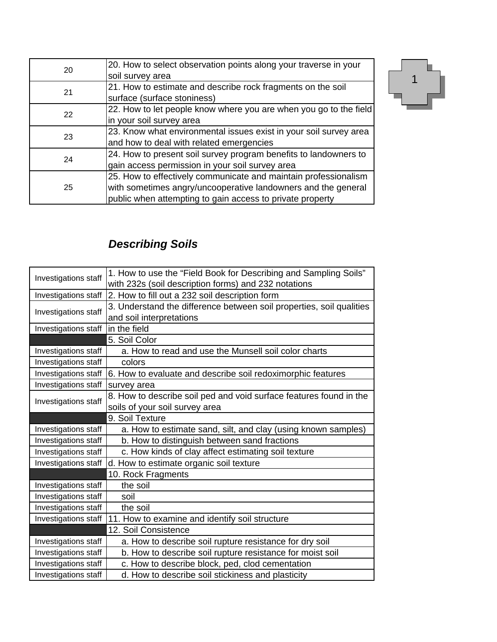| 20 | 20. How to select observation points along your traverse in your  |
|----|-------------------------------------------------------------------|
|    | soil survey area                                                  |
| 21 | 21. How to estimate and describe rock fragments on the soil       |
|    | surface (surface stoniness)                                       |
| 22 | 22. How to let people know where you are when you go to the field |
|    | in your soil survey area                                          |
| 23 | 23. Know what environmental issues exist in your soil survey area |
|    | and how to deal with related emergencies                          |
| 24 | 24. How to present soil survey program benefits to landowners to  |
|    | gain access permission in your soil survey area                   |
|    | 25. How to effectively communicate and maintain professionalism   |
| 25 | with sometimes angry/uncooperative landowners and the general     |
|    | public when attempting to gain access to private property         |



# *Describing Soils*

| Investigations staff | 1. How to use the "Field Book for Describing and Sampling Soils"     |  |
|----------------------|----------------------------------------------------------------------|--|
|                      | with 232s (soil description forms) and 232 notations                 |  |
| Investigations staff | 2. How to fill out a 232 soil description form                       |  |
| Investigations staff | 3. Understand the difference between soil properties, soil qualities |  |
|                      | and soil interpretations                                             |  |
| Investigations staff | in the field                                                         |  |
|                      | 5. Soil Color                                                        |  |
| Investigations staff | a. How to read and use the Munsell soil color charts                 |  |
| Investigations staff | colors                                                               |  |
| Investigations staff | 6. How to evaluate and describe soil redoximorphic features          |  |
| Investigations staff | survey area                                                          |  |
| Investigations staff | 8. How to describe soil ped and void surface features found in the   |  |
|                      | soils of your soil survey area                                       |  |
|                      | 9. Soil Texture                                                      |  |
| Investigations staff | a. How to estimate sand, silt, and clay (using known samples)        |  |
| Investigations staff | b. How to distinguish between sand fractions                         |  |
| Investigations staff | c. How kinds of clay affect estimating soil texture                  |  |
| Investigations staff | d. How to estimate organic soil texture                              |  |
|                      | 10. Rock Fragments                                                   |  |
| Investigations staff | the soil                                                             |  |
|                      |                                                                      |  |
| Investigations staff | soil                                                                 |  |
| Investigations staff | the soil                                                             |  |
| Investigations staff | 11. How to examine and identify soil structure                       |  |
|                      | 12. Soil Consistence                                                 |  |
| Investigations staff | a. How to describe soil rupture resistance for dry soil              |  |
| Investigations staff | b. How to describe soil rupture resistance for moist soil            |  |
| Investigations staff | c. How to describe block, ped, clod cementation                      |  |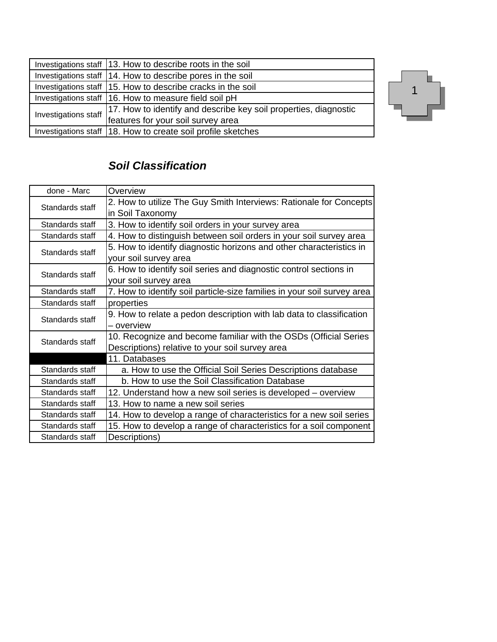|                      | Investigations staff 13. How to describe roots in the soil       |
|----------------------|------------------------------------------------------------------|
|                      | Investigations staff 14. How to describe pores in the soil       |
|                      | Investigations staff 15. How to describe cracks in the soil      |
|                      | Investigations staff 16. How to measure field soil pH            |
| Investigations staff | 17. How to identify and describe key soil properties, diagnostic |
|                      | features for your soil survey area                               |
|                      | Investigations staff 18. How to create soil profile sketches     |



### *Soil Classification*

| done - Marc     | Overview                                                                |  |
|-----------------|-------------------------------------------------------------------------|--|
| Standards staff | 2. How to utilize The Guy Smith Interviews: Rationale for Concepts      |  |
|                 | in Soil Taxonomy                                                        |  |
| Standards staff | 3. How to identify soil orders in your survey area                      |  |
| Standards staff | 4. How to distinguish between soil orders in your soil survey area      |  |
| Standards staff | 5. How to identify diagnostic horizons and other characteristics in     |  |
|                 | your soil survey area                                                   |  |
| Standards staff | 6. How to identify soil series and diagnostic control sections in       |  |
|                 | your soil survey area                                                   |  |
| Standards staff | 7. How to identify soil particle-size families in your soil survey area |  |
| Standards staff | properties                                                              |  |
| Standards staff | 9. How to relate a pedon description with lab data to classification    |  |
|                 | - overview                                                              |  |
| Standards staff | 10. Recognize and become familiar with the OSDs (Official Series        |  |
|                 | Descriptions) relative to your soil survey area                         |  |
|                 | 11. Databases                                                           |  |
| Standards staff | a. How to use the Official Soil Series Descriptions database            |  |
| Standards staff | b. How to use the Soil Classification Database                          |  |
| Standards staff | 12. Understand how a new soil series is developed – overview            |  |
| Standards staff | 13. How to name a new soil series                                       |  |
| Standards staff | 14. How to develop a range of characteristics for a new soil series     |  |
| Standards staff | 15. How to develop a range of characteristics for a soil component      |  |
| Standards staff | Descriptions)                                                           |  |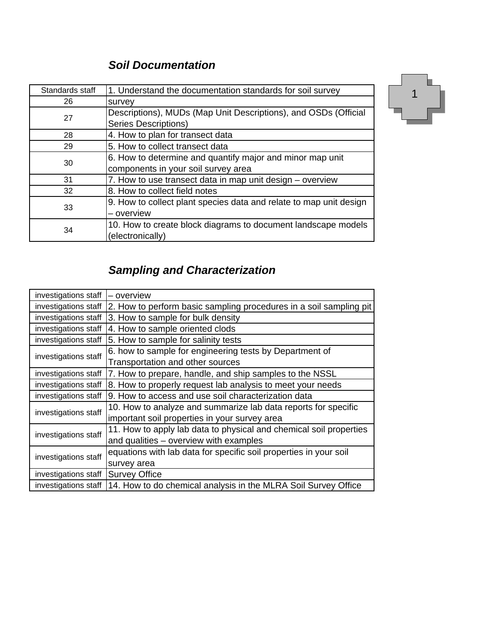### *Soil Documentation*

| Standards staff | 1. Understand the documentation standards for soil survey                                      |  |
|-----------------|------------------------------------------------------------------------------------------------|--|
| 26              | survey                                                                                         |  |
| 27              | Descriptions), MUDs (Map Unit Descriptions), and OSDs (Official<br><b>Series Descriptions)</b> |  |
| 28              | 4. How to plan for transect data                                                               |  |
| 29              | 5. How to collect transect data                                                                |  |
| 30              | 6. How to determine and quantify major and minor map unit                                      |  |
|                 | components in your soil survey area                                                            |  |
| 31              | 7. How to use transect data in map unit design - overview                                      |  |
| 32              | 8. How to collect field notes                                                                  |  |
| 33              | 9. How to collect plant species data and relate to map unit design                             |  |
|                 | – overview                                                                                     |  |
| 34              | 10. How to create block diagrams to document landscape models                                  |  |
|                 | (electronically)                                                                               |  |



## *Sampling and Characterization*

| investigations staff | – overview                                                         |  |
|----------------------|--------------------------------------------------------------------|--|
| investigations staff | 2. How to perform basic sampling procedures in a soil sampling pit |  |
| investigations staff | 3. How to sample for bulk density                                  |  |
| investigations staff | 4. How to sample oriented clods                                    |  |
| investigations staff | 5. How to sample for salinity tests                                |  |
| investigations staff | 6. how to sample for engineering tests by Department of            |  |
|                      | Transportation and other sources                                   |  |
| investigations staff | 7. How to prepare, handle, and ship samples to the NSSL            |  |
| investigations staff | 8. How to properly request lab analysis to meet your needs         |  |
| investigations staff | 9. How to access and use soil characterization data                |  |
| investigations staff | 10. How to analyze and summarize lab data reports for specific     |  |
|                      | important soil properties in your survey area                      |  |
| investigations staff | 11. How to apply lab data to physical and chemical soil properties |  |
|                      | and qualities - overview with examples                             |  |
| investigations staff | equations with lab data for specific soil properties in your soil  |  |
|                      | survey area                                                        |  |
| investigations staff | <b>Survey Office</b>                                               |  |
| investigations staff | 14. How to do chemical analysis in the MLRA Soil Survey Office     |  |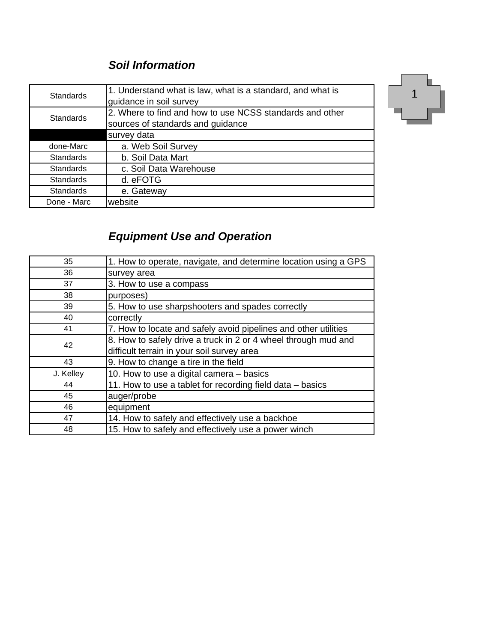### *Soil Information*

| <b>Standards</b> | 1. Understand what is law, what is a standard, and what is |
|------------------|------------------------------------------------------------|
|                  | guidance in soil survey                                    |
| <b>Standards</b> | 2. Where to find and how to use NCSS standards and other   |
|                  | sources of standards and guidance                          |
|                  | survey data                                                |
| done-Marc        | a. Web Soil Survey                                         |
| <b>Standards</b> | b. Soil Data Mart                                          |
| <b>Standards</b> | c. Soil Data Warehouse                                     |
| <b>Standards</b> | d. eFOTG                                                   |
| <b>Standards</b> | e. Gateway                                                 |
| Done - Marc      | website                                                    |



# *Equipment Use and Operation*

| 35        | 1. How to operate, navigate, and determine location using a GPS |
|-----------|-----------------------------------------------------------------|
| 36        | survey area                                                     |
| 37        | 3. How to use a compass                                         |
| 38        | purposes)                                                       |
| 39        | 5. How to use sharpshooters and spades correctly                |
| 40        | correctly                                                       |
| 41        | 7. How to locate and safely avoid pipelines and other utilities |
| 42        | 8. How to safely drive a truck in 2 or 4 wheel through mud and  |
|           | difficult terrain in your soil survey area                      |
| 43        | 9. How to change a tire in the field                            |
| J. Kelley | 10. How to use a digital camera - basics                        |
| 44        | 11. How to use a tablet for recording field data - basics       |
| 45        | auger/probe                                                     |
| 46        | equipment                                                       |
| 47        | 14. How to safely and effectively use a backhoe                 |
| 48        | 15. How to safely and effectively use a power winch             |
|           |                                                                 |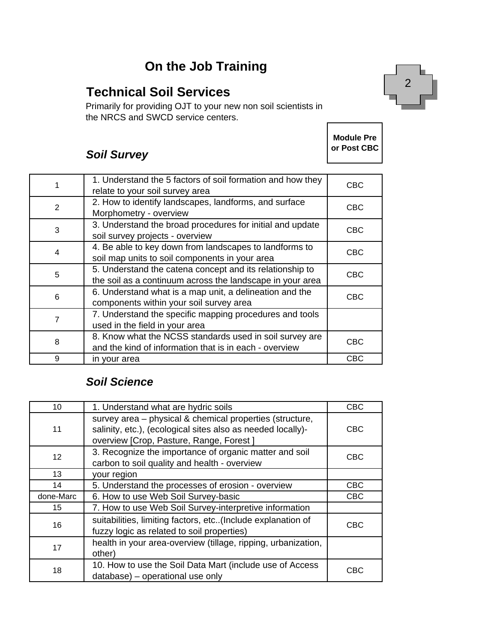### **On the Job Training**

### **Technical Soil Services**

Primarily for providing OJT to your new non soil scientists in the NRCS and SWCD service centers.

> **Module Pre or Post CBC**

2

#### *Soil Survey*

|   | 1. Understand the 5 factors of soil formation and how they<br>relate to your soil survey area                         | <b>CBC</b> |
|---|-----------------------------------------------------------------------------------------------------------------------|------------|
| 2 | 2. How to identify landscapes, landforms, and surface<br>Morphometry - overview                                       | <b>CBC</b> |
| 3 | 3. Understand the broad procedures for initial and update<br>soil survey projects - overview                          | <b>CBC</b> |
| 4 | 4. Be able to key down from landscapes to landforms to<br>soil map units to soil components in your area              | CBC        |
| 5 | 5. Understand the catena concept and its relationship to<br>the soil as a continuum across the landscape in your area | <b>CBC</b> |
| 6 | 6. Understand what is a map unit, a delineation and the<br>components within your soil survey area                    | <b>CBC</b> |
| 7 | 7. Understand the specific mapping procedures and tools<br>used in the field in your area                             |            |
| 8 | 8. Know what the NCSS standards used in soil survey are<br>and the kind of information that is in each - overview     | CBC        |
| 9 | in your area                                                                                                          | CBC        |

#### *Soil Science*

| 10        | 1. Understand what are hydric soils                                                                                                                                | <b>CBC</b> |
|-----------|--------------------------------------------------------------------------------------------------------------------------------------------------------------------|------------|
| 11        | survey area - physical & chemical properties (structure,<br>salinity, etc.), (ecological sites also as needed locally)-<br>overview [Crop, Pasture, Range, Forest] | <b>CBC</b> |
| 12        | 3. Recognize the importance of organic matter and soil<br>carbon to soil quality and health - overview                                                             | <b>CBC</b> |
| 13        | your region                                                                                                                                                        |            |
| 14        | 5. Understand the processes of erosion - overview                                                                                                                  | <b>CBC</b> |
| done-Marc | 6. How to use Web Soil Survey-basic                                                                                                                                | <b>CBC</b> |
| 15        | 7. How to use Web Soil Survey-interpretive information                                                                                                             |            |
| 16        | suitabilities, limiting factors, etc(Include explanation of<br>fuzzy logic as related to soil properties)                                                          | <b>CBC</b> |
| 17        | health in your area-overview (tillage, ripping, urbanization,<br>other)                                                                                            |            |
| 18        | 10. How to use the Soil Data Mart (include use of Access<br>database) – operational use only                                                                       | CBC        |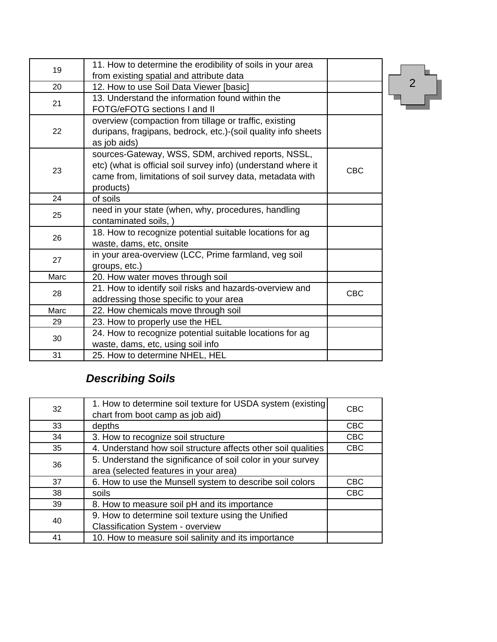| 11. How to determine the erodibility of soils in your area    |                                                        |
|---------------------------------------------------------------|--------------------------------------------------------|
| from existing spatial and attribute data                      |                                                        |
| 12. How to use Soil Data Viewer [basic]                       |                                                        |
| 13. Understand the information found within the               |                                                        |
| FOTG/eFOTG sections I and II                                  |                                                        |
|                                                               |                                                        |
| duripans, fragipans, bedrock, etc.)-(soil quality info sheets |                                                        |
| as job aids)                                                  |                                                        |
| sources-Gateway, WSS, SDM, archived reports, NSSL,            |                                                        |
| etc) (what is official soil survey info) (understand where it | <b>CBC</b>                                             |
| came from, limitations of soil survey data, metadata with     |                                                        |
| products)                                                     |                                                        |
| of soils                                                      |                                                        |
| need in your state (when, why, procedures, handling           |                                                        |
| contaminated soils, )                                         |                                                        |
| 18. How to recognize potential suitable locations for ag      |                                                        |
| waste, dams, etc, onsite                                      |                                                        |
| in your area-overview (LCC, Prime farmland, veg soil          |                                                        |
| groups, etc.)                                                 |                                                        |
| 20. How water moves through soil                              |                                                        |
| 21. How to identify soil risks and hazards-overview and       | <b>CBC</b>                                             |
| addressing those specific to your area                        |                                                        |
| 22. How chemicals move through soil                           |                                                        |
| 23. How to properly use the HEL                               |                                                        |
| 24. How to recognize potential suitable locations for ag      |                                                        |
| waste, dams, etc, using soil info                             |                                                        |
| 25. How to determine NHEL, HEL                                |                                                        |
|                                                               | overview (compaction from tillage or traffic, existing |

 $\begin{bmatrix} 2 \end{bmatrix}$ 

# *Describing Soils*

| 32 | 1. How to determine soil texture for USDA system (existing)<br>chart from boot camp as job aid) | <b>CBC</b> |
|----|-------------------------------------------------------------------------------------------------|------------|
| 33 | depths                                                                                          | <b>CBC</b> |
| 34 | 3. How to recognize soil structure                                                              | <b>CBC</b> |
| 35 | 4. Understand how soil structure affects other soil qualities                                   | <b>CBC</b> |
| 36 | 5. Understand the significance of soil color in your survey                                     |            |
|    | area (selected features in your area)                                                           |            |
| 37 | 6. How to use the Munsell system to describe soil colors                                        | <b>CBC</b> |
| 38 | soils                                                                                           | <b>CBC</b> |
| 39 | 8. How to measure soil pH and its importance                                                    |            |
| 40 | 9. How to determine soil texture using the Unified                                              |            |
|    | <b>Classification System - overview</b>                                                         |            |
| 41 | 10. How to measure soil salinity and its importance                                             |            |